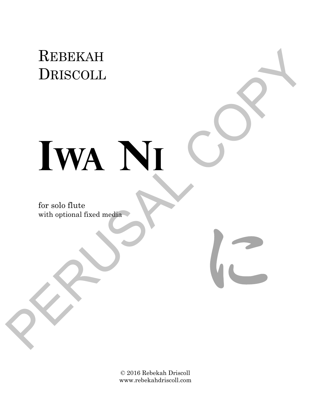# REBEKAH DRISCOLL

# **Iwa Ni** REBERAH DRISCOLL DRISCOLL **NAMEDIA AND SERVED AND SERVED ON THE COPY OF A SERVED AND SERVED ON A SERVED ON A SERVED ON A SERVED ON A SERVED ON A SERVED ON A SERVED ON A SERVED ON A SERVED ON A SERVED ON A SERVED ON A SERVE**

for solo flute with optional fixed media

> © 2016 Rebekah Driscoll www.rebekahdriscoll.com

12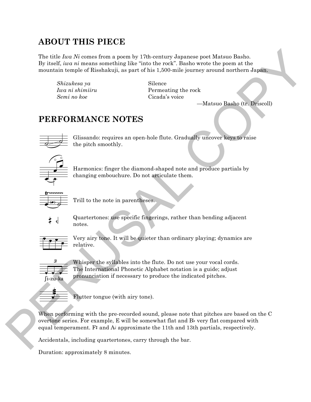### **ABOUT THIS PIECE**

The title *Iwa Ni* comes from a poem by 17th-century Japanese poet Matsuo Basho. By itself, *iwa ni* means something like "into the rock". Basho wrote the poem at the mountain temple of Risshakuji, as part of his 1,500-mile journey around northern Japan.

*Shizukesa ya* Silence *Semi no koe* Cicada's voice

*Iwa ni shimiiru* Permeating the rock

—Matsuo Basho (tr. Driscoll)

### **PERFORMANCE NOTES**



Glissando: requires an open-hole flute. Gradually uncover keys to raise the pitch smoothly.



Harmonics: finger the diamond-shaped note and produce partials by changing embouchure. Do not articulate them.



Trill to the note in parentheses.



Quartertones: use specific fingerings, rather than bending adjacent notes.



Very airy tone. It will be quieter than ordinary playing; dynamics are relative.



∫i-zu-ka

Whisper the syllables into the flute. Do not use your vocal cords. The International Phonetic Alphabet notation is a guide; adjust pronunciation if necessary to produce the indicated pitches.



Flutter tongue (with airy tone).

When performing with the pre-recorded sound, please note that pitches are based on the C overtone series. For example, E will be somewhat flat and  $B<sup>b</sup>$  very flat compared with equal temperament. F<sub>‡</sub> and  $A_{\parallel}$  approximate the 11th and 13th partials, respectively. The title face  $Ni$  conset from a poem by 17th-century depende post Mateus Banko.<br>But the title into the material in the matter spin term the result in the matter and the spin structure in the spin structure of the spin s

Accidentals, including quartertones, carry through the bar.

Duration: approximately 8 minutes.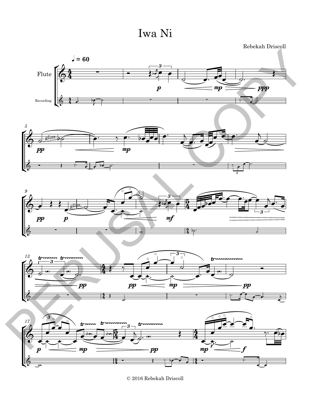## Iwa Ni



© 2016 Rebekah Driscoll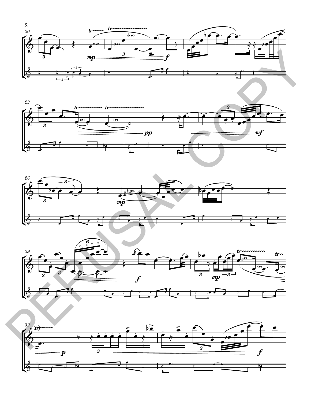







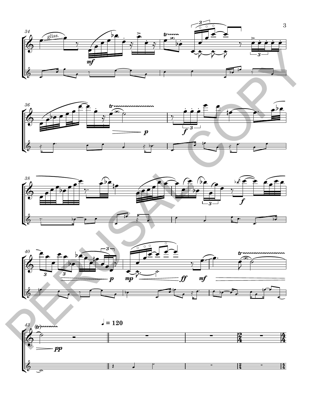







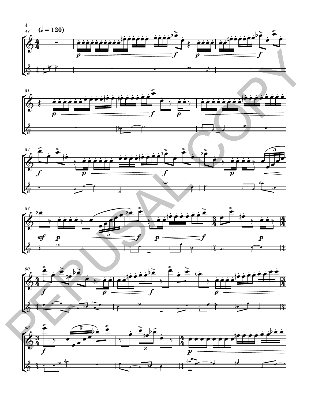









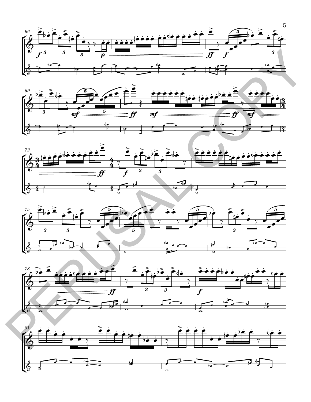









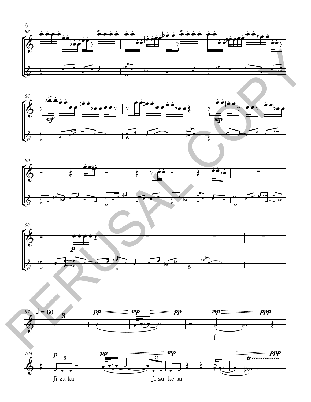